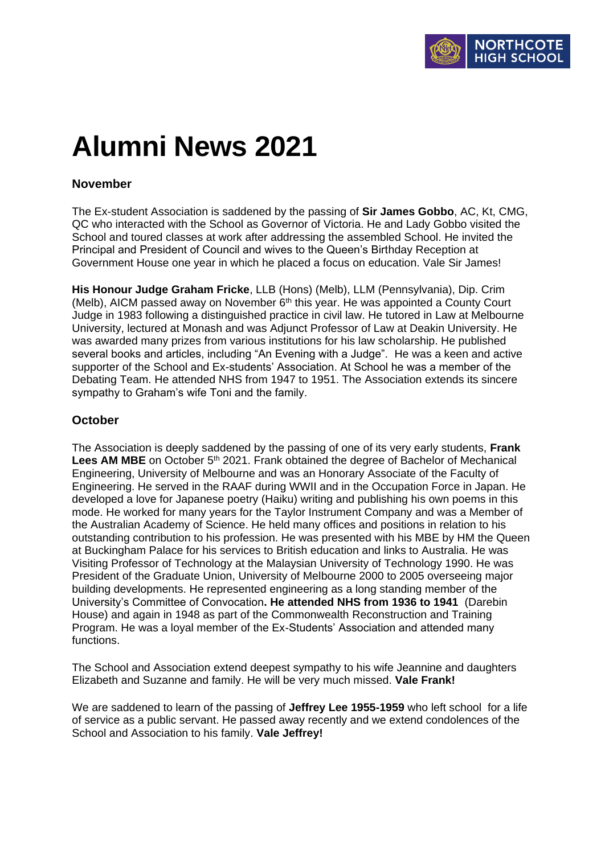# **Alumni News 2021**

## **November**

The Ex-student Association is saddened by the passing of **Sir James Gobbo**, AC, Kt, CMG, QC who interacted with the School as Governor of Victoria. He and Lady Gobbo visited the School and toured classes at work after addressing the assembled School. He invited the Principal and President of Council and wives to the Queen's Birthday Reception at Government House one year in which he placed a focus on education. Vale Sir James!

**His Honour Judge Graham Fricke**, LLB (Hons) (Melb), LLM (Pennsylvania), Dip. Crim (Melb), AICM passed away on November  $6<sup>th</sup>$  this year. He was appointed a County Court Judge in 1983 following a distinguished practice in civil law. He tutored in Law at Melbourne University, lectured at Monash and was Adjunct Professor of Law at Deakin University. He was awarded many prizes from various institutions for his law scholarship. He published several books and articles, including "An Evening with a Judge". He was a keen and active supporter of the School and Ex-students' Association. At School he was a member of the Debating Team. He attended NHS from 1947 to 1951. The Association extends its sincere sympathy to Graham's wife Toni and the family.

## **October**

The Association is deeply saddened by the passing of one of its very early students, **Frank**  Lees AM MBE on October 5<sup>th</sup> 2021. Frank obtained the degree of Bachelor of Mechanical Engineering, University of Melbourne and was an Honorary Associate of the Faculty of Engineering. He served in the RAAF during WWII and in the Occupation Force in Japan. He developed a love for Japanese poetry (Haiku) writing and publishing his own poems in this mode. He worked for many years for the Taylor Instrument Company and was a Member of the Australian Academy of Science. He held many offices and positions in relation to his outstanding contribution to his profession. He was presented with his MBE by HM the Queen at Buckingham Palace for his services to British education and links to Australia. He was Visiting Professor of Technology at the Malaysian University of Technology 1990. He was President of the Graduate Union, University of Melbourne 2000 to 2005 overseeing major building developments. He represented engineering as a long standing member of the University's Committee of Convocation**. He attended NHS from 1936 to 1941** (Darebin House) and again in 1948 as part of the Commonwealth Reconstruction and Training Program. He was a loyal member of the Ex-Students' Association and attended many functions.

The School and Association extend deepest sympathy to his wife Jeannine and daughters Elizabeth and Suzanne and family. He will be very much missed. **Vale Frank!**

We are saddened to learn of the passing of **Jeffrey Lee 1955-1959** who left school for a life of service as a public servant. He passed away recently and we extend condolences of the School and Association to his family. **Vale Jeffrey!**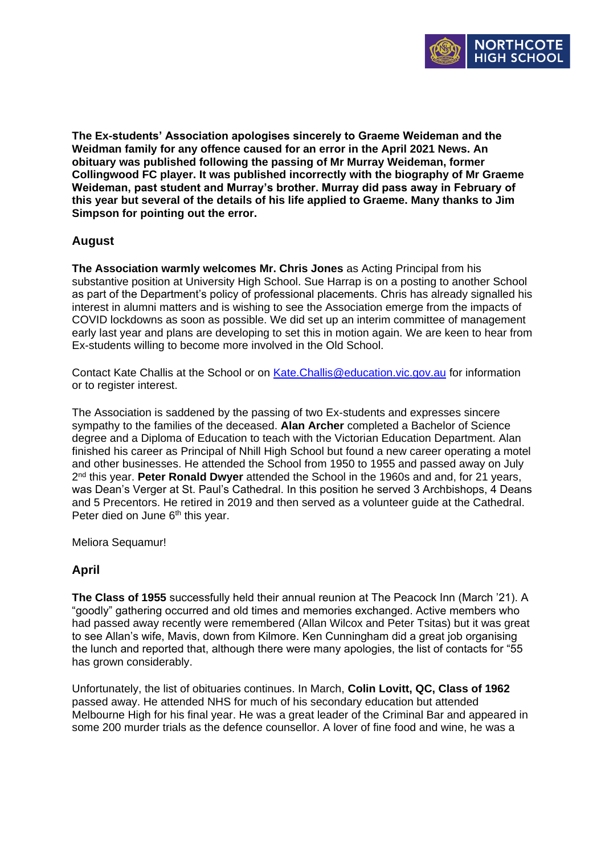

**The Ex-students' Association apologises sincerely to Graeme Weideman and the Weidman family for any offence caused for an error in the April 2021 News. An obituary was published following the passing of Mr Murray Weideman, former Collingwood FC player. It was published incorrectly with the biography of Mr Graeme Weideman, past student and Murray's brother. Murray did pass away in February of this year but several of the details of his life applied to Graeme. Many thanks to Jim Simpson for pointing out the error.**

# **August**

**The Association warmly welcomes Mr. Chris Jones** as Acting Principal from his substantive position at University High School. Sue Harrap is on a posting to another School as part of the Department's policy of professional placements. Chris has already signalled his interest in alumni matters and is wishing to see the Association emerge from the impacts of COVID lockdowns as soon as possible. We did set up an interim committee of management early last year and plans are developing to set this in motion again. We are keen to hear from Ex-students willing to become more involved in the Old School.

Contact Kate Challis at the School or on [Kate.Challis@education.vic.gov.au](mailto:Kate.Challis@education.vic.gov.au) for information or to register interest.

The Association is saddened by the passing of two Ex-students and expresses sincere sympathy to the families of the deceased. **Alan Archer** completed a Bachelor of Science degree and a Diploma of Education to teach with the Victorian Education Department. Alan finished his career as Principal of Nhill High School but found a new career operating a motel and other businesses. He attended the School from 1950 to 1955 and passed away on July 2 nd this year. **Peter Ronald Dwyer** attended the School in the 1960s and and, for 21 years, was Dean's Verger at St. Paul's Cathedral. In this position he served 3 Archbishops, 4 Deans and 5 Precentors. He retired in 2019 and then served as a volunteer guide at the Cathedral. Peter died on June 6<sup>th</sup> this year.

Meliora Sequamur!

# **April**

**The Class of 1955** successfully held their annual reunion at The Peacock Inn (March '21). A "goodly" gathering occurred and old times and memories exchanged. Active members who had passed away recently were remembered (Allan Wilcox and Peter Tsitas) but it was great to see Allan's wife, Mavis, down from Kilmore. Ken Cunningham did a great job organising the lunch and reported that, although there were many apologies, the list of contacts for "55 has grown considerably.

Unfortunately, the list of obituaries continues. In March, **Colin Lovitt, QC, Class of 1962** passed away. He attended NHS for much of his secondary education but attended Melbourne High for his final year. He was a great leader of the Criminal Bar and appeared in some 200 murder trials as the defence counsellor. A lover of fine food and wine, he was a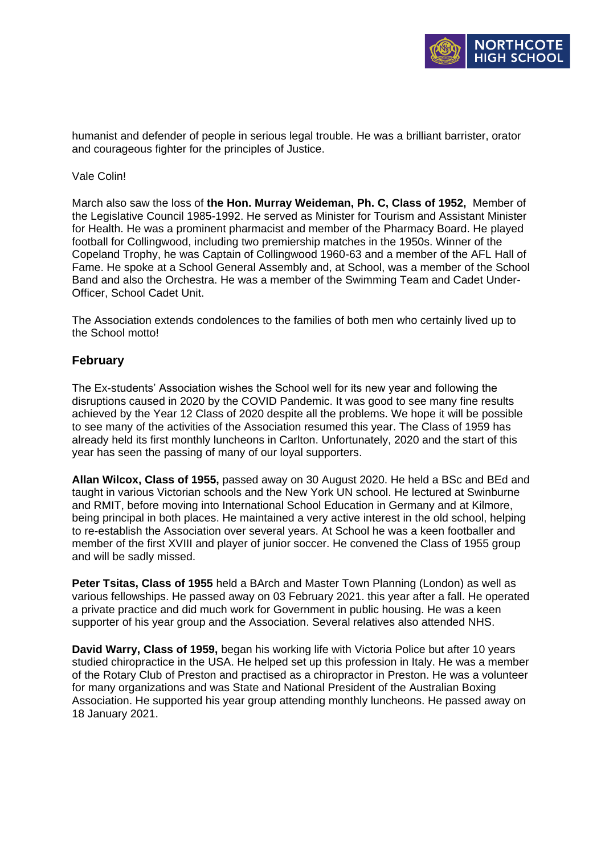

humanist and defender of people in serious legal trouble. He was a brilliant barrister, orator and courageous fighter for the principles of Justice.

## Vale Colin!

March also saw the loss of **the Hon. Murray Weideman, Ph. C, Class of 1952,** Member of the Legislative Council 1985-1992. He served as Minister for Tourism and Assistant Minister for Health. He was a prominent pharmacist and member of the Pharmacy Board. He played football for Collingwood, including two premiership matches in the 1950s. Winner of the Copeland Trophy, he was Captain of Collingwood 1960-63 and a member of the AFL Hall of Fame. He spoke at a School General Assembly and, at School, was a member of the School Band and also the Orchestra. He was a member of the Swimming Team and Cadet Under-Officer, School Cadet Unit.

The Association extends condolences to the families of both men who certainly lived up to the School motto!

## **February**

The Ex-students' Association wishes the School well for its new year and following the disruptions caused in 2020 by the COVID Pandemic. It was good to see many fine results achieved by the Year 12 Class of 2020 despite all the problems. We hope it will be possible to see many of the activities of the Association resumed this year. The Class of 1959 has already held its first monthly luncheons in Carlton. Unfortunately, 2020 and the start of this year has seen the passing of many of our loyal supporters.

**Allan Wilcox, Class of 1955,** passed away on 30 August 2020. He held a BSc and BEd and taught in various Victorian schools and the New York UN school. He lectured at Swinburne and RMIT, before moving into International School Education in Germany and at Kilmore, being principal in both places. He maintained a very active interest in the old school, helping to re-establish the Association over several years. At School he was a keen footballer and member of the first XVIII and player of junior soccer. He convened the Class of 1955 group and will be sadly missed.

**Peter Tsitas, Class of 1955** held a BArch and Master Town Planning (London) as well as various fellowships. He passed away on 03 February 2021. this year after a fall. He operated a private practice and did much work for Government in public housing. He was a keen supporter of his year group and the Association. Several relatives also attended NHS.

**David Warry, Class of 1959,** began his working life with Victoria Police but after 10 years studied chiropractice in the USA. He helped set up this profession in Italy. He was a member of the Rotary Club of Preston and practised as a chiropractor in Preston. He was a volunteer for many organizations and was State and National President of the Australian Boxing Association. He supported his year group attending monthly luncheons. He passed away on 18 January 2021.